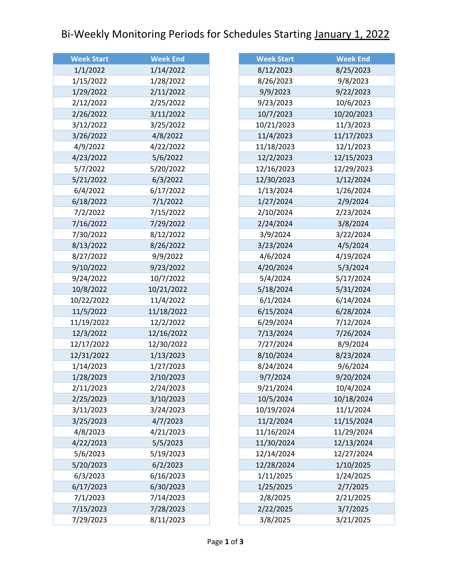## Bi-Weekly Monitoring Periods for Schedules Starting January 1, 2022

| <b>Week Start</b> | <b>Week End</b> |
|-------------------|-----------------|
| 1/1/2022          | 1/14/2022       |
| 1/15/2022         | 1/28/2022       |
| 1/29/2022         | 2/11/2022       |
| 2/12/2022         | 2/25/2022       |
| 2/26/2022         | 3/11/2022       |
| 3/12/2022         | 3/25/2022       |
| 3/26/2022         | 4/8/2022        |
| 4/9/2022          | 4/22/2022       |
| 4/23/2022         | 5/6/2022        |
| 5/7/2022          | 5/20/2022       |
| 5/21/2022         | 6/3/2022        |
| 6/4/2022          | 6/17/2022       |
| 6/18/2022         | 7/1/2022        |
| 7/2/2022          | 7/15/2022       |
| 7/16/2022         | 7/29/2022       |
| 7/30/2022         | 8/12/2022       |
| 8/13/2022         | 8/26/2022       |
| 8/27/2022         | 9/9/2022        |
| 9/10/2022         | 9/23/2022       |
| 9/24/2022         | 10/7/2022       |
| 10/8/2022         | 10/21/2022      |
| 10/22/2022        | 11/4/2022       |
| 11/5/2022         | 11/18/2022      |
| 11/19/2022        | 12/2/2022       |
| 12/3/2022         | 12/16/2022      |
| 12/17/2022        | 12/30/2022      |
| 12/31/2022        | 1/13/2023       |
| 1/14/2023         | 1/27/2023       |
| 1/28/2023         | 2/10/2023       |
| 2/11/2023         | 2/24/2023       |
| 2/25/2023         | 3/10/2023       |
| 3/11/2023         | 3/24/2023       |
| 3/25/2023         | 4/7/2023        |
| 4/8/2023          | 4/21/2023       |
| 4/22/2023         | 5/5/2023        |
| 5/6/2023          | 5/19/2023       |
| 5/20/2023         | 6/2/2023        |
| 6/3/2023          | 6/16/2023       |
| 6/17/2023         | 6/30/2023       |
| 7/1/2023          | 7/14/2023       |
| 7/15/2023         | 7/28/2023       |
| 7/29/2023         | 8/11/2023       |

| <b>Week Start</b> | <b>Week End</b> |
|-------------------|-----------------|
| 8/12/2023         | 8/25/2023       |
| 8/26/2023         | 9/8/2023        |
| 9/9/2023          | 9/22/2023       |
| 9/23/2023         | 10/6/2023       |
| 10/7/2023         | 10/20/2023      |
| 10/21/2023        | 11/3/2023       |
| 11/4/2023         | 11/17/2023      |
| 11/18/2023        | 12/1/2023       |
| 12/2/2023         | 12/15/2023      |
| 12/16/2023        | 12/29/2023      |
| 12/30/2023        | 1/12/2024       |
| 1/13/2024         | 1/26/2024       |
| 1/27/2024         | 2/9/2024        |
| 2/10/2024         | 2/23/2024       |
| 2/24/2024         | 3/8/2024        |
| 3/9/2024          | 3/22/2024       |
| 3/23/2024         | 4/5/2024        |
| 4/6/2024          | 4/19/2024       |
| 4/20/2024         | 5/3/2024        |
| 5/4/2024          | 5/17/2024       |
| 5/18/2024         | 5/31/2024       |
| 6/1/2024          | 6/14/2024       |
| 6/15/2024         | 6/28/2024       |
| 6/29/2024         | 7/12/2024       |
| 7/13/2024         | 7/26/2024       |
| 7/27/2024         | 8/9/2024        |
| 8/10/2024         | 8/23/2024       |
| 8/24/2024         | 9/6/2024        |
| 9/7/2024          | 9/20/2024       |
| 9/21/2024         | 10/4/2024       |
| 10/5/2024         | 10/18/2024      |
| 10/19/2024        | 11/1/2024       |
| 11/2/2024         | 11/15/2024      |
| 11/16/2024        | 11/29/2024      |
| 11/30/2024        | 12/13/2024      |
| 12/14/2024        | 12/27/2024      |
| 12/28/2024        | 1/10/2025       |
| 1/11/2025         | 1/24/2025       |
| 1/25/2025         | 2/7/2025        |
| 2/8/2025          | 2/21/2025       |
| 2/22/2025         | 3/7/2025        |
| 3/8/2025          | 3/21/2025       |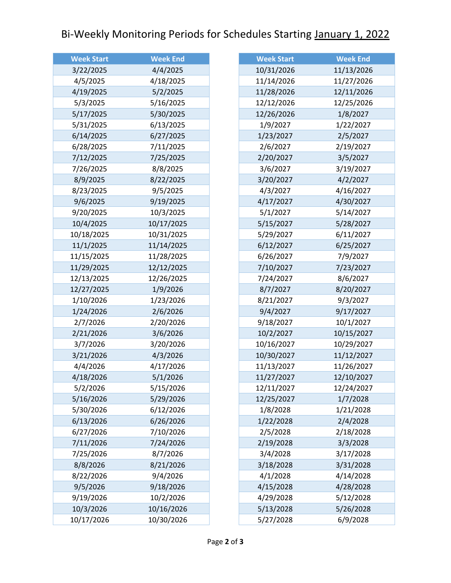## Bi-Weekly Monitoring Periods for Schedules Starting January 1, 2022

| <b>Week Start</b> | <b>Week End</b> |
|-------------------|-----------------|
| 3/22/2025         | 4/4/2025        |
| 4/5/2025          | 4/18/2025       |
| 4/19/2025         | 5/2/2025        |
| 5/3/2025          | 5/16/2025       |
| 5/17/2025         | 5/30/2025       |
| 5/31/2025         | 6/13/2025       |
| 6/14/2025         | 6/27/2025       |
| 6/28/2025         | 7/11/2025       |
| 7/12/2025         | 7/25/2025       |
| 7/26/2025         | 8/8/2025        |
| 8/9/2025          | 8/22/2025       |
| 8/23/2025         | 9/5/2025        |
| 9/6/2025          | 9/19/2025       |
| 9/20/2025         | 10/3/2025       |
| 10/4/2025         | 10/17/2025      |
| 10/18/2025        | 10/31/2025      |
| 11/1/2025         | 11/14/2025      |
| 11/15/2025        | 11/28/2025      |
| 11/29/2025        | 12/12/2025      |
| 12/13/2025        | 12/26/2025      |
| 12/27/2025        | 1/9/2026        |
| 1/10/2026         | 1/23/2026       |
| 1/24/2026         | 2/6/2026        |
| 2/7/2026          | 2/20/2026       |
| 2/21/2026         | 3/6/2026        |
| 3/7/2026          | 3/20/2026       |
| 3/21/2026         | 4/3/2026        |
| 4/4/2026          | 4/17/2026       |
| 4/18/2026         | 5/1/2026        |
| 5/2/2026          | 5/15/2026       |
| 5/16/2026         | 5/29/2026       |
| 5/30/2026         | 6/12/2026       |
| 6/13/2026         | 6/26/2026       |
| 6/27/2026         | 7/10/2026       |
| 7/11/2026         | 7/24/2026       |
| 7/25/2026         | 8/7/2026        |
| 8/8/2026          | 8/21/2026       |
| 8/22/2026         | 9/4/2026        |
| 9/5/2026          | 9/18/2026       |
| 9/19/2026         | 10/2/2026       |
| 10/3/2026         | 10/16/2026      |
| 10/17/2026        | 10/30/2026      |

| <b>Week Start</b> | <b>Week End</b> |
|-------------------|-----------------|
| 10/31/2026        | 11/13/2026      |
| 11/14/2026        | 11/27/2026      |
| 11/28/2026        | 12/11/2026      |
| 12/12/2026        | 12/25/2026      |
| 12/26/2026        | 1/8/2027        |
| 1/9/2027          | 1/22/2027       |
| 1/23/2027         | 2/5/2027        |
| 2/6/2027          | 2/19/2027       |
| 2/20/2027         | 3/5/2027        |
| 3/6/2027          | 3/19/2027       |
| 3/20/2027         | 4/2/2027        |
| 4/3/2027          | 4/16/2027       |
| 4/17/2027         | 4/30/2027       |
| 5/1/2027          | 5/14/2027       |
| 5/15/2027         | 5/28/2027       |
| 5/29/2027         | 6/11/2027       |
| 6/12/2027         | 6/25/2027       |
| 6/26/2027         | 7/9/2027        |
| 7/10/2027         | 7/23/2027       |
| 7/24/2027         | 8/6/2027        |
| 8/7/2027          | 8/20/2027       |
| 8/21/2027         | 9/3/2027        |
| 9/4/2027          | 9/17/2027       |
| 9/18/2027         | 10/1/2027       |
| 10/2/2027         | 10/15/2027      |
| 10/16/2027        | 10/29/2027      |
| 10/30/2027        | 11/12/2027      |
| 11/13/2027        | 11/26/2027      |
| 11/27/2027        | 12/10/2027      |
| 12/11/2027        | 12/24/2027      |
| 12/25/2027        | 1/7/2028        |
| 1/8/2028          | 1/21/2028       |
| 1/22/2028         | 2/4/2028        |
| 2/5/2028          | 2/18/2028       |
| 2/19/2028         | 3/3/2028        |
| 3/4/2028          | 3/17/2028       |
| 3/18/2028         | 3/31/2028       |
| 4/1/2028          | 4/14/2028       |
| 4/15/2028         | 4/28/2028       |
| 4/29/2028         | 5/12/2028       |
| 5/13/2028         | 5/26/2028       |
| 5/27/2028         | 6/9/2028        |